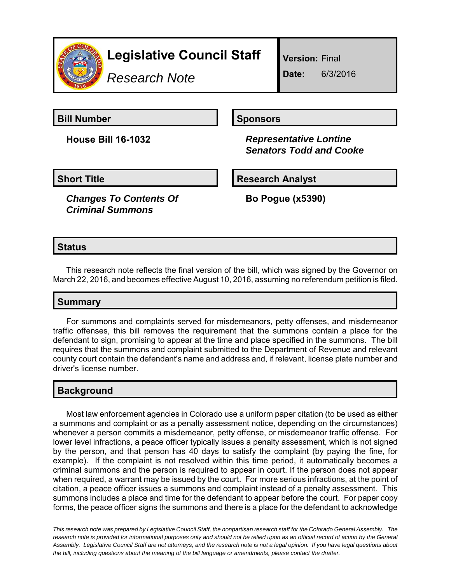

*Research Note*

**Version:** Final

**Date:** 6/3/2016

**Bill Number Sponsors** 

**House Bill 16-1032** *Representative Lontine Senators Todd and Cooke*

*Changes To Contents Of Criminal Summons*

**Short Title Community Community Community Research Analyst** 

**Bo Pogue (x5390)**

## **Status**

This research note reflects the final version of the bill, which was signed by the Governor on March 22, 2016, and becomes effective August 10, 2016, assuming no referendum petition is filed.

## **Summary**

For summons and complaints served for misdemeanors, petty offenses, and misdemeanor traffic offenses, this bill removes the requirement that the summons contain a place for the defendant to sign, promising to appear at the time and place specified in the summons. The bill requires that the summons and complaint submitted to the Department of Revenue and relevant county court contain the defendant's name and address and, if relevant, license plate number and driver's license number.

# **Background**

Most law enforcement agencies in Colorado use a uniform paper citation (to be used as either a summons and complaint or as a penalty assessment notice, depending on the circumstances) whenever a person commits a misdemeanor, petty offense, or misdemeanor traffic offense. For lower level infractions, a peace officer typically issues a penalty assessment, which is not signed by the person, and that person has 40 days to satisfy the complaint (by paying the fine, for example). If the complaint is not resolved within this time period, it automatically becomes a criminal summons and the person is required to appear in court. If the person does not appear when required, a warrant may be issued by the court. For more serious infractions, at the point of citation, a peace officer issues a summons and complaint instead of a penalty assessment. This summons includes a place and time for the defendant to appear before the court. For paper copy forms, the peace officer signs the summons and there is a place for the defendant to acknowledge

*This research note was prepared by Legislative Council Staff, the nonpartisan research staff for the Colorado General Assembly. The research note is provided for informational purposes only and should not be relied upon as an official record of action by the General Assembly. Legislative Council Staff are not attorneys, and the research note is not a legal opinion. If you have legal questions about the bill, including questions about the meaning of the bill language or amendments, please contact the drafter.*